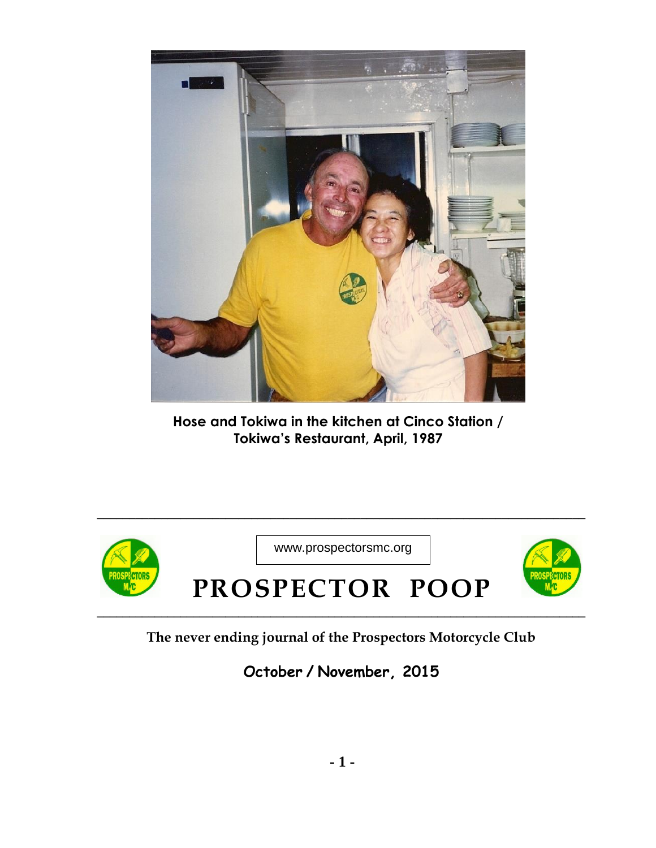

**Hose and Tokiwa in the kitchen at Cinco Station / Tokiwa's Restaurant, April, 1987**



**\_\_\_\_\_\_\_\_\_\_\_\_\_\_\_\_\_\_\_\_\_\_\_\_\_\_\_\_\_\_\_\_\_\_\_\_\_\_\_\_\_\_\_\_\_\_\_\_\_\_\_\_\_\_\_\_\_\_\_\_\_\_\_\_\_\_\_\_\_\_\_\_\_\_\_\_ The never ending journal of the Prospectors Motorcycle Club**

**October / November, 2015**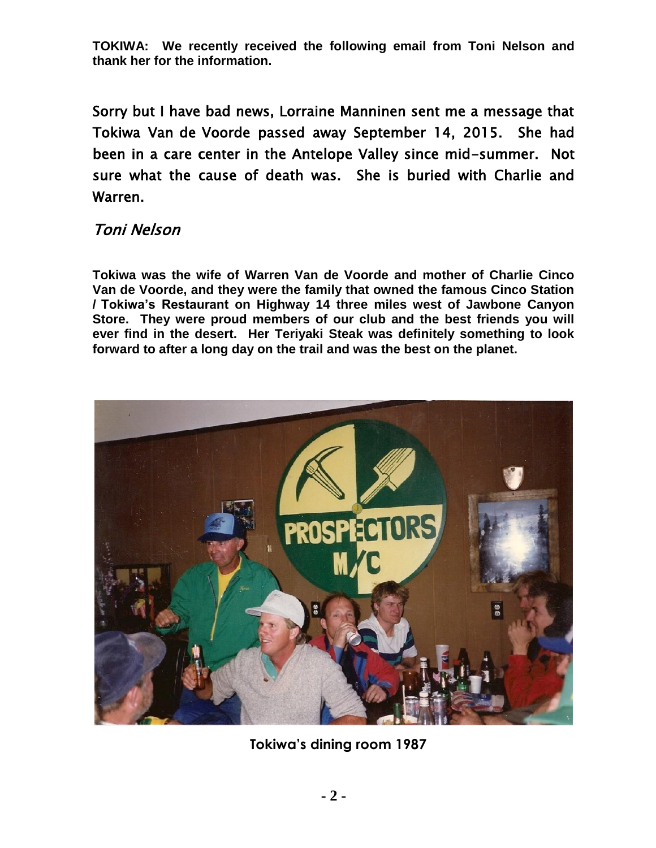**TOKIWA: We recently received the following email from Toni Nelson and thank her for the information.** 

Sorry but I have bad news, Lorraine Manninen sent me a message that Tokiwa Van de Voorde passed away September 14, 2015. She had been in a care center in the Antelope Valley since mid-summer. Not sure what the cause of death was. She is buried with Charlie and Warren.

## Toni Nelson

**Tokiwa was the wife of Warren Van de Voorde and mother of Charlie Cinco Van de Voorde, and they were the family that owned the famous Cinco Station / Tokiwa's Restaurant on Highway 14 three miles west of Jawbone Canyon Store. They were proud members of our club and the best friends you will ever find in the desert. Her Teriyaki Steak was definitely something to look forward to after a long day on the trail and was the best on the planet.** 



**Tokiwa's dining room 1987**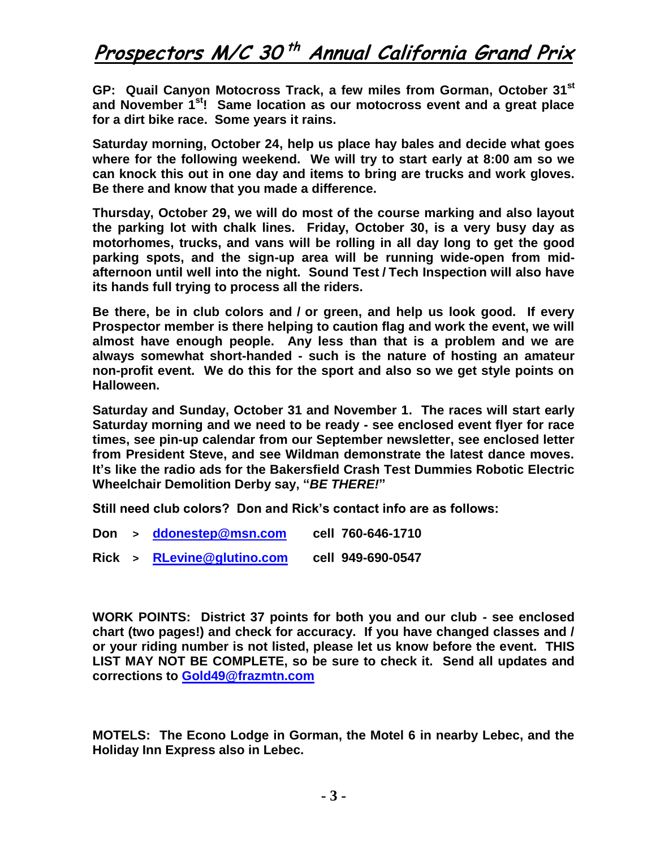## **Prospectors M/C 30 th Annual California Grand Prix**

**GP: Quail Canyon Motocross Track, a few miles from Gorman, October 31st and November 1st! Same location as our motocross event and a great place for a dirt bike race. Some years it rains.** 

**Saturday morning, October 24, help us place hay bales and decide what goes where for the following weekend. We will try to start early at 8:00 am so we can knock this out in one day and items to bring are trucks and work gloves. Be there and know that you made a difference.** 

**Thursday, October 29, we will do most of the course marking and also layout the parking lot with chalk lines. Friday, October 30, is a very busy day as motorhomes, trucks, and vans will be rolling in all day long to get the good parking spots, and the sign-up area will be running wide-open from midafternoon until well into the night. Sound Test / Tech Inspection will also have its hands full trying to process all the riders.** 

**Be there, be in club colors and / or green, and help us look good. If every Prospector member is there helping to caution flag and work the event, we will almost have enough people. Any less than that is a problem and we are always somewhat short-handed - such is the nature of hosting an amateur non-profit event. We do this for the sport and also so we get style points on Halloween.** 

**Saturday and Sunday, October 31 and November 1. The races will start early Saturday morning and we need to be ready - see enclosed event flyer for race times, see pin-up calendar from our September newsletter, see enclosed letter from President Steve, and see Wildman demonstrate the latest dance moves. It's like the radio ads for the Bakersfield Crash Test Dummies Robotic Electric Wheelchair Demolition Derby say, "***BE THERE!***"** 

**Still need club colors? Don and Rick's contact info are as follows:** 

- **Don > [ddonestep@msn.com](mailto:ddonestep@msn.com) cell 760-646-1710**
- **Rick > [RLevine@glutino.com](mailto:RLevine@glutino.com) cell 949-690-0547**

**WORK POINTS: District 37 points for both you and our club - see enclosed chart (two pages!) and check for accuracy. If you have changed classes and / or your riding number is not listed, please let us know before the event. THIS LIST MAY NOT BE COMPLETE, so be sure to check it. Send all updates and corrections to [Gold49@frazmtn.com](mailto:Gold49@frazmtn.com)**

**MOTELS: The Econo Lodge in Gorman, the Motel 6 in nearby Lebec, and the Holiday Inn Express also in Lebec.**